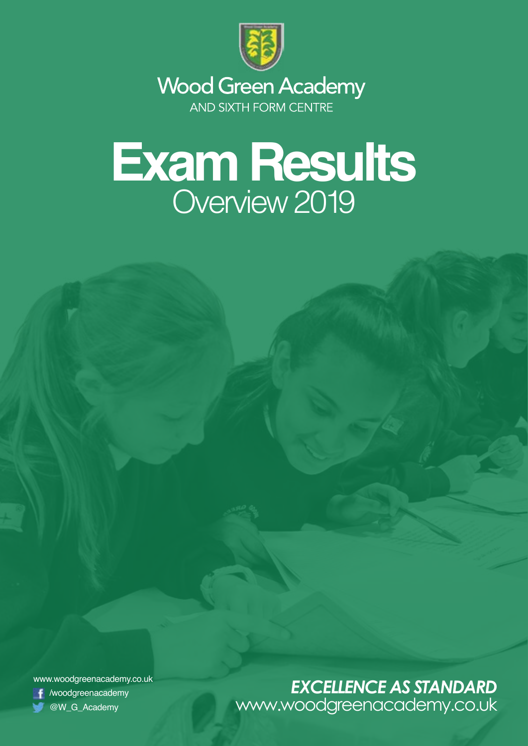

**Wood Green Academy** AND SIXTH FORM CENTRE

## **Exam Results** Overview 2019

www.woodgreenacademy.co.uk /woodgreenacademy

## 1 *EXCELLENCE AS STANDARD*@W\_G\_Academy www.woodgreenacademy.co.uk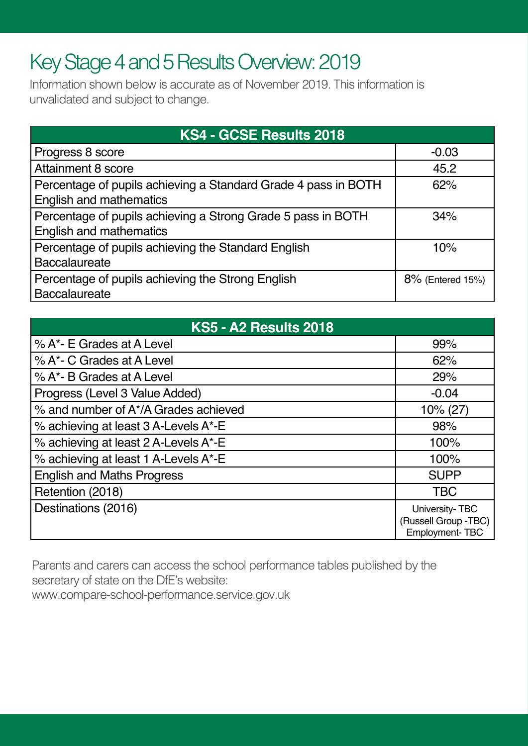## Key Stage 4 and 5 Results Overview: 2019

Information shown below is accurate as of November 2019. This information is unvalidated and subject to change.

| KS4 - GCSE Results 2018                                                                          |                  |
|--------------------------------------------------------------------------------------------------|------------------|
| Progress 8 score                                                                                 | $-0.03$          |
| <b>Attainment 8 score</b>                                                                        | 45.2             |
| Percentage of pupils achieving a Standard Grade 4 pass in BOTH<br><b>English and mathematics</b> | 62%              |
| Percentage of pupils achieving a Strong Grade 5 pass in BOTH<br><b>English and mathematics</b>   | 34%              |
| Percentage of pupils achieving the Standard English<br><b>Baccalaureate</b>                      | 10%              |
| Percentage of pupils achieving the Strong English<br><b>Baccalaureate</b>                        | 8% (Entered 15%) |

| <b>KS5 - A2 Results 2018</b>         |                                                                 |
|--------------------------------------|-----------------------------------------------------------------|
| % A*- E Grades at A Level            | 99%                                                             |
| % A*- C Grades at A Level            | 62%                                                             |
| % A*- B Grades at A Level            | 29%                                                             |
| Progress (Level 3 Value Added)       | $-0.04$                                                         |
| % and number of A*/A Grades achieved | $10\% (27)$                                                     |
| % achieving at least 3 A-Levels A*-E | 98%                                                             |
| % achieving at least 2 A-Levels A*-E | 100%                                                            |
| % achieving at least 1 A-Levels A*-E | 100%                                                            |
| <b>English and Maths Progress</b>    | <b>SUPP</b>                                                     |
| Retention (2018)                     | <b>TBC</b>                                                      |
| Destinations (2016)                  | University-TBC<br>(Russell Group -TBC)<br><b>Employment-TBC</b> |

Parents and carers can access the school performance tables published by the secretary of state on the DfE's website:

www.compare-school-performance.service.gov.uk